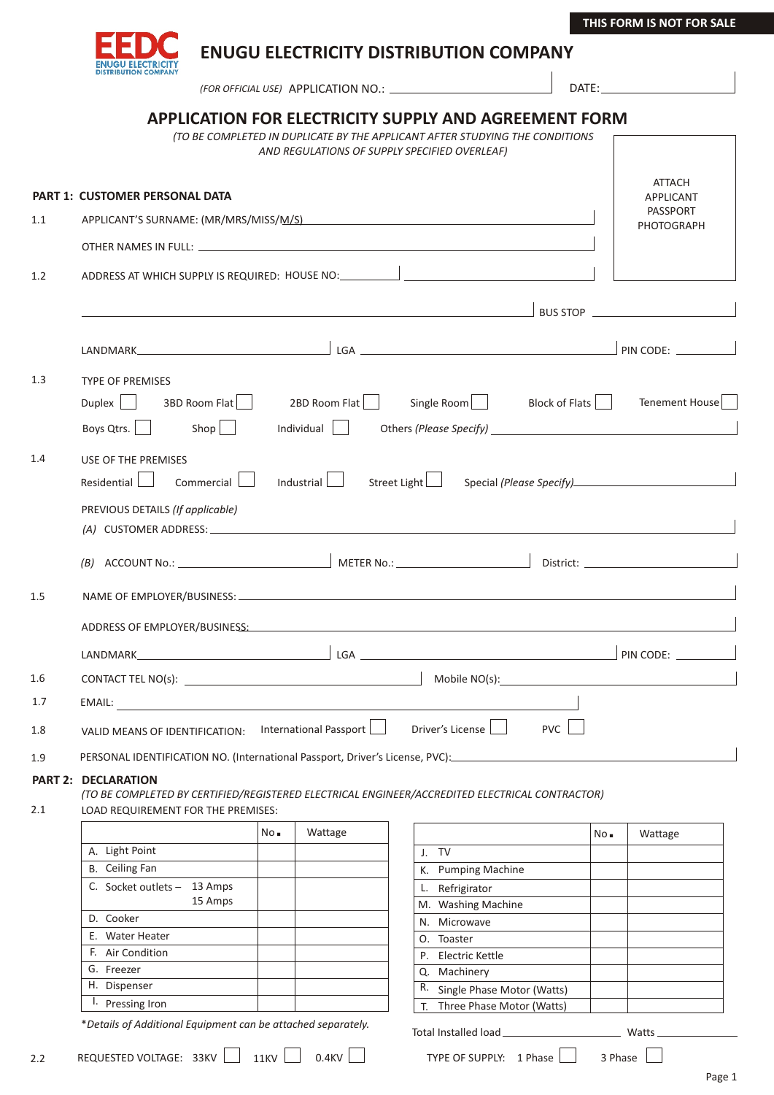

**ENUGU ELECTRICITY DISTRIBUTION COMPANY**

APPLICATION NO.: *(FOR OFFICIAL USE)* DATE:

|     | <b>APPLICATION FOR ELECTRICITY SUPPLY AND AGREEMENT FORM</b>                                                                                                                                                                         |      | (TO BE COMPLETED IN DUPLICATE BY THE APPLICANT AFTER STUDYING THE CONDITIONS<br>AND REGULATIONS OF SUPPLY SPECIFIED OVERLEAF) |    |                                       |            |            |                                                                                                                                                                                                                                |  |  |  |
|-----|--------------------------------------------------------------------------------------------------------------------------------------------------------------------------------------------------------------------------------------|------|-------------------------------------------------------------------------------------------------------------------------------|----|---------------------------------------|------------|------------|--------------------------------------------------------------------------------------------------------------------------------------------------------------------------------------------------------------------------------|--|--|--|
|     |                                                                                                                                                                                                                                      |      |                                                                                                                               |    |                                       |            |            | <b>ATTACH</b>                                                                                                                                                                                                                  |  |  |  |
|     | <b>PART 1: CUSTOMER PERSONAL DATA</b>                                                                                                                                                                                                |      |                                                                                                                               |    |                                       |            |            | <b>APPLICANT</b><br>PASSPORT                                                                                                                                                                                                   |  |  |  |
| 1.1 |                                                                                                                                                                                                                                      |      |                                                                                                                               |    |                                       |            | PHOTOGRAPH |                                                                                                                                                                                                                                |  |  |  |
|     |                                                                                                                                                                                                                                      |      |                                                                                                                               |    |                                       |            |            |                                                                                                                                                                                                                                |  |  |  |
| 1.2 | ADDRESS AT WHICH SUPPLY IS REQUIRED: HOUSE NO: __________________________________                                                                                                                                                    |      |                                                                                                                               |    |                                       |            |            |                                                                                                                                                                                                                                |  |  |  |
|     | <u>Andreas Andreas Andreas Andreas Andreas Andreas Andreas Andreas Andreas Andreas Andreas Andreas Andreas Andreas Andreas Andreas Andreas Andreas Andreas Andreas Andreas Andreas Andreas Andreas Andreas Andreas Andreas Andre</u> |      |                                                                                                                               |    |                                       |            |            |                                                                                                                                                                                                                                |  |  |  |
|     |                                                                                                                                                                                                                                      |      |                                                                                                                               |    |                                       |            |            |                                                                                                                                                                                                                                |  |  |  |
| 1.3 | <b>TYPE OF PREMISES</b><br>  3BD Room Flat   2BD Room Flat<br>Duplex<br>Boys Qtrs.   Shop                                                                                                                                            |      | Individual                                                                                                                    |    | Single Room Block of Flats            |            |            | Tenement House<br>Others (Please Specify) <b>Container and Containers</b> (Please Specify)                                                                                                                                     |  |  |  |
| 1.4 | USE OF THE PREMISES<br>Industrial<br>Residential<br>Commercial<br>Street Light                                                                                                                                                       |      |                                                                                                                               |    |                                       |            |            |                                                                                                                                                                                                                                |  |  |  |
|     | PREVIOUS DETAILS (If applicable)                                                                                                                                                                                                     |      |                                                                                                                               |    |                                       |            |            |                                                                                                                                                                                                                                |  |  |  |
|     |                                                                                                                                                                                                                                      |      |                                                                                                                               |    |                                       |            |            |                                                                                                                                                                                                                                |  |  |  |
| 1.5 |                                                                                                                                                                                                                                      |      |                                                                                                                               |    |                                       |            |            |                                                                                                                                                                                                                                |  |  |  |
|     |                                                                                                                                                                                                                                      |      |                                                                                                                               |    |                                       |            |            |                                                                                                                                                                                                                                |  |  |  |
|     |                                                                                                                                                                                                                                      |      |                                                                                                                               |    |                                       |            |            |                                                                                                                                                                                                                                |  |  |  |
| 1.6 |                                                                                                                                                                                                                                      |      |                                                                                                                               |    |                                       |            |            | Mobile NO(s): Note all the set of the set of the set of the set of the set of the set of the set of the set of the set of the set of the set of the set of the set of the set of the set of the set of the set of the set of t |  |  |  |
| 1.7 | EMAIL:                                                                                                                                                                                                                               |      |                                                                                                                               |    |                                       |            |            |                                                                                                                                                                                                                                |  |  |  |
| 1.8 | VALID MEANS OF IDENTIFICATION:                                                                                                                                                                                                       |      | International Passport                                                                                                        |    | Driver's License                      | <b>PVC</b> |            |                                                                                                                                                                                                                                |  |  |  |
| 1.9 | PERSONAL IDENTIFICATION NO. (International Passport, Driver's License, PVC): ______________________                                                                                                                                  |      |                                                                                                                               |    |                                       |            |            |                                                                                                                                                                                                                                |  |  |  |
| 2.1 | <b>PART 2: DECLARATION</b><br>(TO BE COMPLETED BY CERTIFIED/REGISTERED ELECTRICAL ENGINEER/ACCREDITED ELECTRICAL CONTRACTOR)<br>LOAD REQUIREMENT FOR THE PREMISES:                                                                   |      |                                                                                                                               |    |                                       |            |            |                                                                                                                                                                                                                                |  |  |  |
|     |                                                                                                                                                                                                                                      | No.  | Wattage                                                                                                                       |    |                                       |            | No         | Wattage                                                                                                                                                                                                                        |  |  |  |
|     | A. Light Point                                                                                                                                                                                                                       |      |                                                                                                                               |    | J. TV                                 |            |            |                                                                                                                                                                                                                                |  |  |  |
|     | <b>B.</b> Ceiling Fan                                                                                                                                                                                                                |      |                                                                                                                               |    | K. Pumping Machine                    |            |            |                                                                                                                                                                                                                                |  |  |  |
|     | C. Socket outlets - 13 Amps<br>15 Amps                                                                                                                                                                                               |      |                                                                                                                               |    | L. Refrigirator<br>M. Washing Machine |            |            |                                                                                                                                                                                                                                |  |  |  |
|     | D. Cooker                                                                                                                                                                                                                            |      |                                                                                                                               |    | N. Microwave                          |            |            |                                                                                                                                                                                                                                |  |  |  |
|     | E. Water Heater                                                                                                                                                                                                                      |      |                                                                                                                               |    | O. Toaster                            |            |            |                                                                                                                                                                                                                                |  |  |  |
|     | F. Air Condition                                                                                                                                                                                                                     |      |                                                                                                                               |    | P. Electric Kettle                    |            |            |                                                                                                                                                                                                                                |  |  |  |
|     | G. Freezer                                                                                                                                                                                                                           |      |                                                                                                                               |    | Q. Machinery                          |            |            |                                                                                                                                                                                                                                |  |  |  |
|     | H. Dispenser                                                                                                                                                                                                                         |      |                                                                                                                               |    | R. Single Phase Motor (Watts)         |            |            |                                                                                                                                                                                                                                |  |  |  |
|     | <sup>1</sup> . Pressing Iron                                                                                                                                                                                                         |      |                                                                                                                               | Т. | Three Phase Motor (Watts)             |            |            |                                                                                                                                                                                                                                |  |  |  |
|     | *Details of Additional Equipment can be attached separately.                                                                                                                                                                         |      |                                                                                                                               |    | Total Installed load_                 |            |            | Watts                                                                                                                                                                                                                          |  |  |  |
| 2.2 | REQUESTED VOLTAGE: 33KV                                                                                                                                                                                                              | 11KV | 0.4KV                                                                                                                         |    | TYPE OF SUPPLY: 1 Phase               |            | 3 Phase    |                                                                                                                                                                                                                                |  |  |  |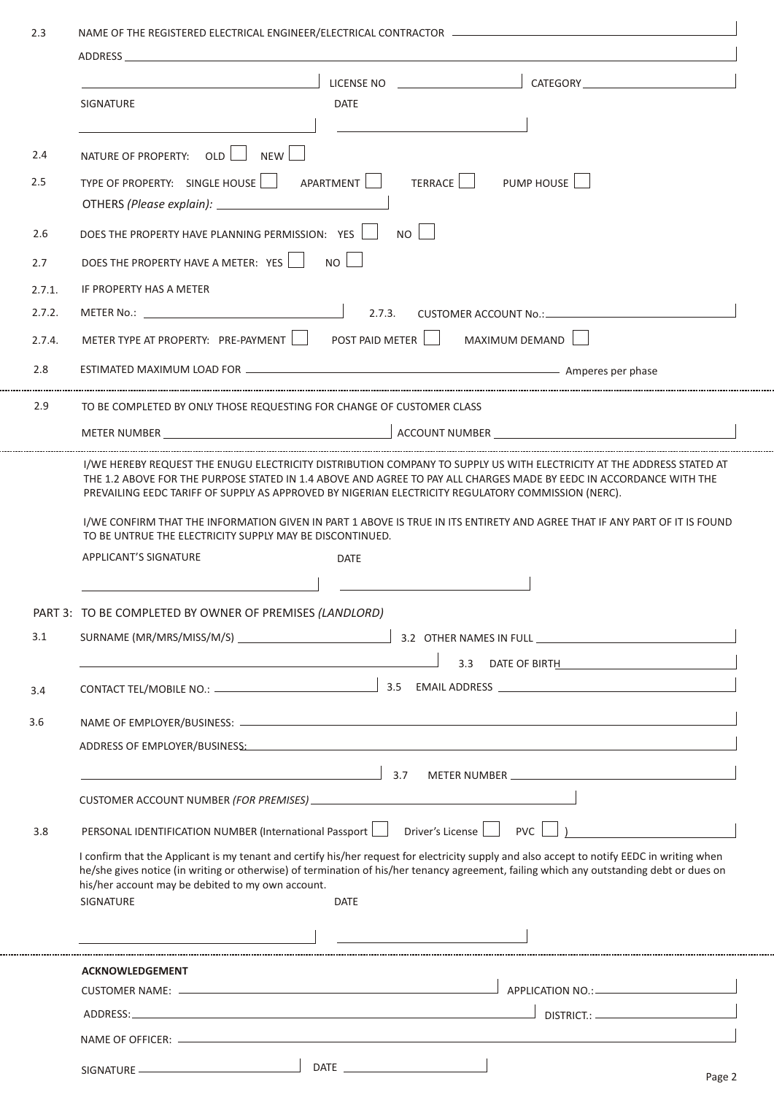|        | <b>CATEGORY CATEGORY</b><br>LICENSE NO                                                                                                                                                                                                                                                                                                                                   |  |  |  |  |  |  |  |
|--------|--------------------------------------------------------------------------------------------------------------------------------------------------------------------------------------------------------------------------------------------------------------------------------------------------------------------------------------------------------------------------|--|--|--|--|--|--|--|
|        | <b>DATE</b><br><b>SIGNATURE</b>                                                                                                                                                                                                                                                                                                                                          |  |  |  |  |  |  |  |
|        |                                                                                                                                                                                                                                                                                                                                                                          |  |  |  |  |  |  |  |
| 2.4    | NATURE OF PROPERTY: OLD   NEW                                                                                                                                                                                                                                                                                                                                            |  |  |  |  |  |  |  |
| 2.5    | TYPE OF PROPERTY: SINGLE HOUSE   APARTMENT<br>TERRACE PUMP HOUSE                                                                                                                                                                                                                                                                                                         |  |  |  |  |  |  |  |
| 2.6    | $N$ o    <br>DOES THE PROPERTY HAVE PLANNING PERMISSION: YES                                                                                                                                                                                                                                                                                                             |  |  |  |  |  |  |  |
| 2.7    | DOES THE PROPERTY HAVE A METER: YES<br><b>NO</b>                                                                                                                                                                                                                                                                                                                         |  |  |  |  |  |  |  |
| 2.7.1. | IF PROPERTY HAS A METER                                                                                                                                                                                                                                                                                                                                                  |  |  |  |  |  |  |  |
| 2.7.2. | 2.7.3.                                                                                                                                                                                                                                                                                                                                                                   |  |  |  |  |  |  |  |
| 2.7.4. | POST PAID METER   MAXIMUM DEMAND<br>METER TYPE AT PROPERTY: PRE-PAYMENT                                                                                                                                                                                                                                                                                                  |  |  |  |  |  |  |  |
| 2.8    |                                                                                                                                                                                                                                                                                                                                                                          |  |  |  |  |  |  |  |
| 2.9    | TO BE COMPLETED BY ONLY THOSE REQUESTING FOR CHANGE OF CUSTOMER CLASS                                                                                                                                                                                                                                                                                                    |  |  |  |  |  |  |  |
|        |                                                                                                                                                                                                                                                                                                                                                                          |  |  |  |  |  |  |  |
|        |                                                                                                                                                                                                                                                                                                                                                                          |  |  |  |  |  |  |  |
|        | I/WE HEREBY REQUEST THE ENUGU ELECTRICITY DISTRIBUTION COMPANY TO SUPPLY US WITH ELECTRICITY AT THE ADDRESS STATED AT<br>THE 1.2 ABOVE FOR THE PURPOSE STATED IN 1.4 ABOVE AND AGREE TO PAY ALL CHARGES MADE BY EEDC IN ACCORDANCE WITH THE<br>PREVAILING EEDC TARIFF OF SUPPLY AS APPROVED BY NIGERIAN ELECTRICITY REGULATORY COMMISSION (NERC).                        |  |  |  |  |  |  |  |
|        | I/WE CONFIRM THAT THE INFORMATION GIVEN IN PART 1 ABOVE IS TRUE IN ITS ENTIRETY AND AGREE THAT IF ANY PART OF IT IS FOUND<br>TO BE UNTRUE THE ELECTRICITY SUPPLY MAY BE DISCONTINUED.                                                                                                                                                                                    |  |  |  |  |  |  |  |
|        | <b>APPLICANT'S SIGNATURE</b><br><b>DATE</b>                                                                                                                                                                                                                                                                                                                              |  |  |  |  |  |  |  |
|        |                                                                                                                                                                                                                                                                                                                                                                          |  |  |  |  |  |  |  |
|        | PART 3: TO BE COMPLETED BY OWNER OF PREMISES (LANDLORD)                                                                                                                                                                                                                                                                                                                  |  |  |  |  |  |  |  |
| 3.1    |                                                                                                                                                                                                                                                                                                                                                                          |  |  |  |  |  |  |  |
|        |                                                                                                                                                                                                                                                                                                                                                                          |  |  |  |  |  |  |  |
|        |                                                                                                                                                                                                                                                                                                                                                                          |  |  |  |  |  |  |  |
| 3.4    | 3.3 DATE OF BIRTH <b>Example 2.5</b>                                                                                                                                                                                                                                                                                                                                     |  |  |  |  |  |  |  |
|        |                                                                                                                                                                                                                                                                                                                                                                          |  |  |  |  |  |  |  |
|        |                                                                                                                                                                                                                                                                                                                                                                          |  |  |  |  |  |  |  |
| 3.6    | ADDRESS OF EMPLOYER/BUSINESS: And the contract of the contract of the contract of the contract of the contract of the contract of the contract of the contract of the contract of the contract of the contract of the contract                                                                                                                                           |  |  |  |  |  |  |  |
|        | 3.7<br>METER NUMBER NEWSFILM AND THE RESERVE THE RESERVE THE RESERVE THE RESERVE THAT A RESERVE THE RESERVE THAT A RE                                                                                                                                                                                                                                                    |  |  |  |  |  |  |  |
|        |                                                                                                                                                                                                                                                                                                                                                                          |  |  |  |  |  |  |  |
| 3.8    | $PVC$ $\Box$ )<br>PERSONAL IDENTIFICATION NUMBER (International Passport   Driver's License                                                                                                                                                                                                                                                                              |  |  |  |  |  |  |  |
|        | I confirm that the Applicant is my tenant and certify his/her request for electricity supply and also accept to notify EEDC in writing when<br>he/she gives notice (in writing or otherwise) of termination of his/her tenancy agreement, failing which any outstanding debt or dues on<br>his/her account may be debited to my own account.<br>SIGNATURE<br><b>DATE</b> |  |  |  |  |  |  |  |
|        |                                                                                                                                                                                                                                                                                                                                                                          |  |  |  |  |  |  |  |
|        | <b>ACKNOWLEDGEMENT</b>                                                                                                                                                                                                                                                                                                                                                   |  |  |  |  |  |  |  |
|        |                                                                                                                                                                                                                                                                                                                                                                          |  |  |  |  |  |  |  |
|        |                                                                                                                                                                                                                                                                                                                                                                          |  |  |  |  |  |  |  |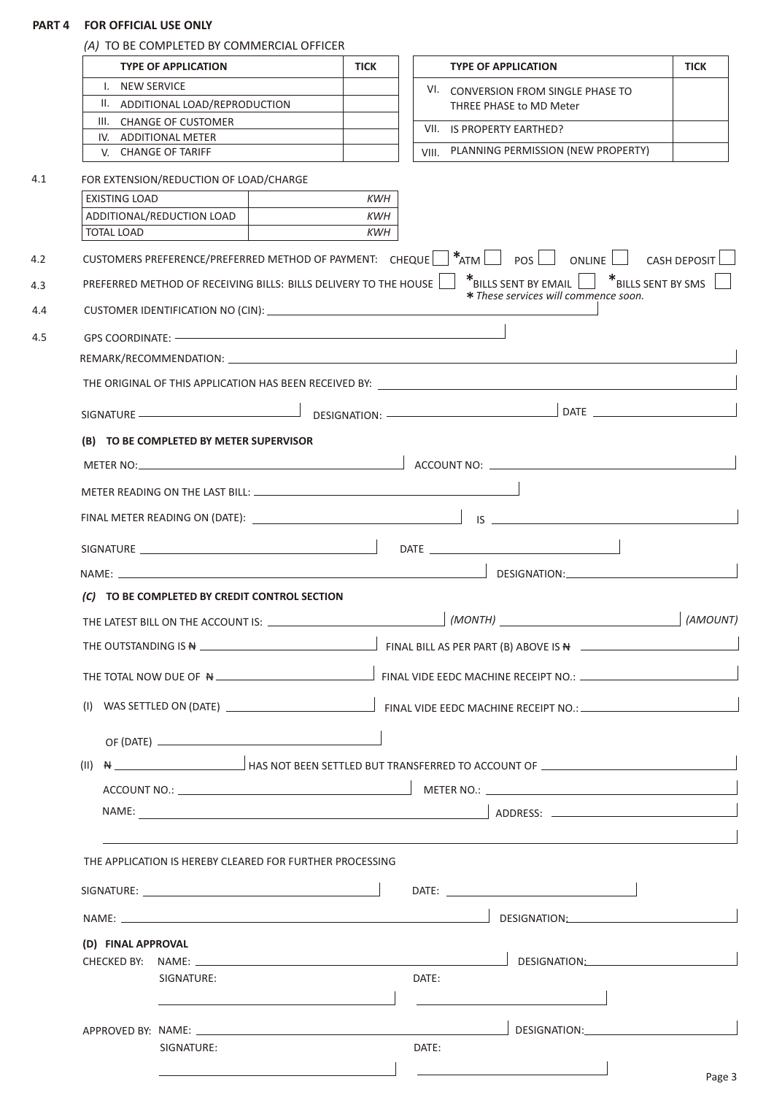# **PART 4 FOR OFFICIAL USE ONLY**

|                      | <b>TYPE OF APPLICATION</b>                                       | <b>TICK</b> |            | <b>TYPE OF APPLICATION</b>                                                                                                                                                                                                           | <b>TICK</b> |  |  |  |  |
|----------------------|------------------------------------------------------------------|-------------|------------|--------------------------------------------------------------------------------------------------------------------------------------------------------------------------------------------------------------------------------------|-------------|--|--|--|--|
| I. NEW SERVICE       |                                                                  |             |            | VI. CONVERSION FROM SINGLE PHASE TO                                                                                                                                                                                                  |             |  |  |  |  |
|                      | II. ADDITIONAL LOAD/REPRODUCTION                                 |             |            | THREE PHASE to MD Meter                                                                                                                                                                                                              |             |  |  |  |  |
|                      | III. CHANGE OF CUSTOMER<br>IV. ADDITIONAL METER                  |             |            | VII. IS PROPERTY EARTHED?                                                                                                                                                                                                            |             |  |  |  |  |
|                      | V. CHANGE OF TARIFF                                              |             |            | VIII. PLANNING PERMISSION (NEW PROPERTY)                                                                                                                                                                                             |             |  |  |  |  |
|                      |                                                                  |             |            |                                                                                                                                                                                                                                      |             |  |  |  |  |
| <b>EXISTING LOAD</b> | FOR EXTENSION/REDUCTION OF LOAD/CHARGE                           |             | <b>KWH</b> |                                                                                                                                                                                                                                      |             |  |  |  |  |
|                      | ADDITIONAL/REDUCTION LOAD                                        |             | <b>KWH</b> |                                                                                                                                                                                                                                      |             |  |  |  |  |
| <b>TOTAL LOAD</b>    |                                                                  |             | <b>KWH</b> |                                                                                                                                                                                                                                      |             |  |  |  |  |
|                      |                                                                  |             |            | CUSTOMERS PREFERENCE/PREFERRED METHOD OF PAYMENT: CHEQUE $\begin{vmatrix} *_{ATM} \end{vmatrix}$ POS   ONLINE   CASH DEPOSIT                                                                                                         |             |  |  |  |  |
|                      | PREFERRED METHOD OF RECEIVING BILLS: BILLS DELIVERY TO THE HOUSE |             |            | $*_{\text{BILLS SENT BY EMAIL}}$ $*_{\text{BILLS SENT BY SMS}}$<br>* These services will commence soon.                                                                                                                              |             |  |  |  |  |
|                      |                                                                  |             |            |                                                                                                                                                                                                                                      |             |  |  |  |  |
|                      |                                                                  |             |            |                                                                                                                                                                                                                                      |             |  |  |  |  |
|                      |                                                                  |             |            |                                                                                                                                                                                                                                      |             |  |  |  |  |
|                      |                                                                  |             |            |                                                                                                                                                                                                                                      |             |  |  |  |  |
|                      |                                                                  |             |            |                                                                                                                                                                                                                                      |             |  |  |  |  |
|                      | (B) TO BE COMPLETED BY METER SUPERVISOR                          |             |            |                                                                                                                                                                                                                                      |             |  |  |  |  |
|                      |                                                                  |             |            |                                                                                                                                                                                                                                      |             |  |  |  |  |
|                      |                                                                  |             |            |                                                                                                                                                                                                                                      |             |  |  |  |  |
|                      |                                                                  |             |            |                                                                                                                                                                                                                                      |             |  |  |  |  |
|                      |                                                                  |             |            |                                                                                                                                                                                                                                      |             |  |  |  |  |
|                      |                                                                  |             |            |                                                                                                                                                                                                                                      |             |  |  |  |  |
|                      | (C) TO BE COMPLETED BY CREDIT CONTROL SECTION                    |             |            |                                                                                                                                                                                                                                      |             |  |  |  |  |
|                      |                                                                  |             |            | (MONTH) <b>Exercise Exercise Contract Contract Contract Contract Contract Contract Contract Contract Contract Contract Contract Contract Contract Contract Contract Contract Contract Contract Contract Contract Contract Contra</b> | (AMOUNT)    |  |  |  |  |
|                      |                                                                  |             |            |                                                                                                                                                                                                                                      |             |  |  |  |  |
|                      |                                                                  |             |            |                                                                                                                                                                                                                                      |             |  |  |  |  |
|                      |                                                                  |             |            |                                                                                                                                                                                                                                      |             |  |  |  |  |
|                      |                                                                  |             |            |                                                                                                                                                                                                                                      |             |  |  |  |  |
|                      |                                                                  |             |            |                                                                                                                                                                                                                                      |             |  |  |  |  |
|                      |                                                                  |             |            |                                                                                                                                                                                                                                      |             |  |  |  |  |
|                      |                                                                  |             |            |                                                                                                                                                                                                                                      |             |  |  |  |  |
|                      |                                                                  |             |            |                                                                                                                                                                                                                                      |             |  |  |  |  |
|                      |                                                                  |             |            |                                                                                                                                                                                                                                      |             |  |  |  |  |
|                      | THE APPLICATION IS HEREBY CLEARED FOR FURTHER PROCESSING         |             |            |                                                                                                                                                                                                                                      |             |  |  |  |  |
|                      |                                                                  |             |            |                                                                                                                                                                                                                                      |             |  |  |  |  |
|                      |                                                                  |             |            | DATE: www.astronometer.com                                                                                                                                                                                                           |             |  |  |  |  |
|                      |                                                                  |             |            |                                                                                                                                                                                                                                      |             |  |  |  |  |
| (D) FINAL APPROVAL   |                                                                  |             |            |                                                                                                                                                                                                                                      |             |  |  |  |  |
|                      | SIGNATURE:                                                       |             | DATE:      |                                                                                                                                                                                                                                      |             |  |  |  |  |
|                      |                                                                  |             |            |                                                                                                                                                                                                                                      |             |  |  |  |  |
|                      |                                                                  |             |            |                                                                                                                                                                                                                                      |             |  |  |  |  |